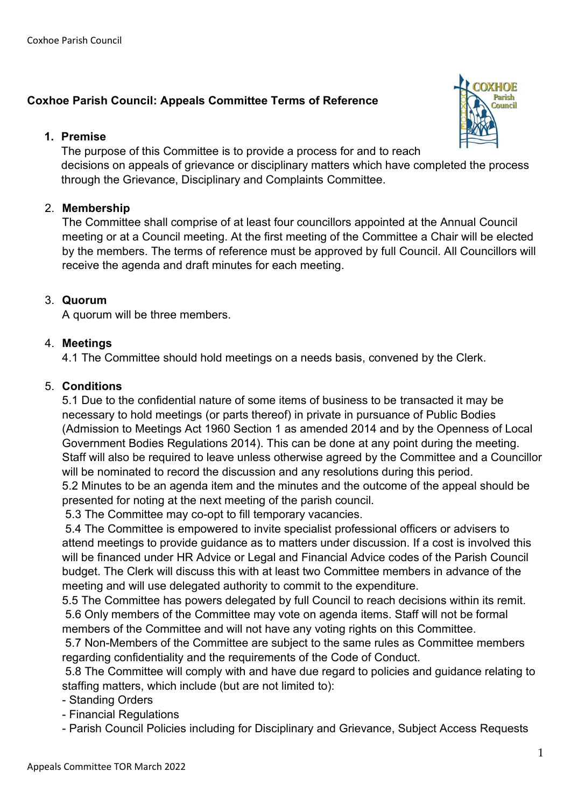# **Coxhoe Parish Council: Appeals Committee Terms of Reference**

#### **1. Premise**



The purpose of this Committee is to provide a process for and to reach decisions on appeals of grievance or disciplinary matters which have completed the process through the Grievance, Disciplinary and Complaints Committee.

### 2. **Membership**

The Committee shall comprise of at least four councillors appointed at the Annual Council meeting or at a Council meeting. At the first meeting of the Committee a Chair will be elected by the members. The terms of reference must be approved by full Council. All Councillors will receive the agenda and draft minutes for each meeting.

### 3. **Quorum**

A quorum will be three members.

### 4. **Meetings**

4.1 The Committee should hold meetings on a needs basis, convened by the Clerk.

### 5. **Conditions**

5.1 Due to the confidential nature of some items of business to be transacted it may be necessary to hold meetings (or parts thereof) in private in pursuance of Public Bodies (Admission to Meetings Act 1960 Section 1 as amended 2014 and by the Openness of Local Government Bodies Regulations 2014). This can be done at any point during the meeting. Staff will also be required to leave unless otherwise agreed by the Committee and a Councillor will be nominated to record the discussion and any resolutions during this period.

5.2 Minutes to be an agenda item and the minutes and the outcome of the appeal should be presented for noting at the next meeting of the parish council.

5.3 The Committee may co-opt to fill temporary vacancies.

5.4 The Committee is empowered to invite specialist professional officers or advisers to attend meetings to provide guidance as to matters under discussion. If a cost is involved this will be financed under HR Advice or Legal and Financial Advice codes of the Parish Council budget. The Clerk will discuss this with at least two Committee members in advance of the meeting and will use delegated authority to commit to the expenditure.

5.5 The Committee has powers delegated by full Council to reach decisions within its remit. 5.6 Only members of the Committee may vote on agenda items. Staff will not be formal members of the Committee and will not have any voting rights on this Committee.

5.7 Non-Members of the Committee are subject to the same rules as Committee members regarding confidentiality and the requirements of the Code of Conduct.

5.8 The Committee will comply with and have due regard to policies and guidance relating to staffing matters, which include (but are not limited to):

- Standing Orders

- Financial Regulations

- Parish Council Policies including for Disciplinary and Grievance, Subject Access Requests